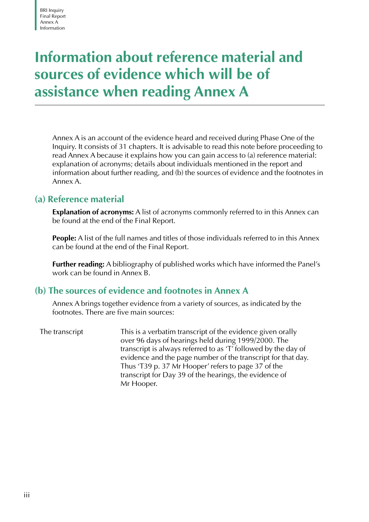# **Information about reference material and sources of evidence which will be of assistance when reading Annex A**

Annex A is an account of the evidence heard and received during Phase One of the Inquiry. It consists of 31 chapters. It is advisable to read this note before proceeding to read Annex A because it explains how you can gain access to (a) reference material: explanation of acronyms; details about individuals mentioned in the report and information about further reading, and (b) the sources of evidence and the footnotes in Annex A.

#### **(a) Reference material**

**Explanation of acronyms:** A list of acronyms commonly referred to in this Annex can be found at the end of the Final Report.

**People:** A list of the full names and titles of those individuals referred to in this Annex can be found at the end of the Final Report.

**Further reading:** A bibliography of published works which have informed the Panel's work can be found in Annex B.

### **(b) The sources of evidence and footnotes in Annex A**

Annex A brings together evidence from a variety of sources, as indicated by the footnotes. There are five main sources:

The transcript This is a verbatim transcript of the evidence given orally over 96 days of hearings held during 1999/2000. The transcript is always referred to as 'T' followed by the day of evidence and the page number of the transcript for that day. Thus 'T39 p. 37 Mr Hooper' refers to page 37 of the transcript for Day 39 of the hearings, the evidence of Mr Hooper.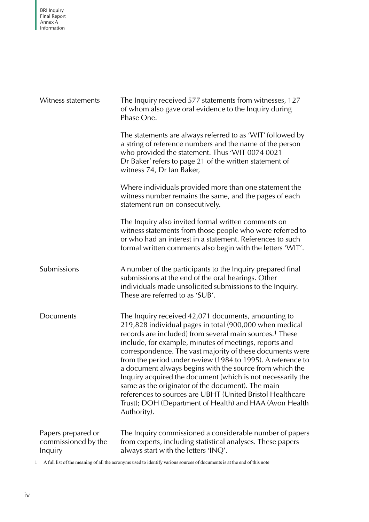| Witness statements                                   | The Inquiry received 577 statements from witnesses, 127<br>of whom also gave oral evidence to the Inquiry during<br>Phase One.<br>The statements are always referred to as 'WIT' followed by<br>a string of reference numbers and the name of the person<br>who provided the statement. Thus 'WIT 0074 0021<br>Dr Baker' refers to page 21 of the written statement of<br>witness 74, Dr Ian Baker,<br>Where individuals provided more than one statement the<br>witness number remains the same, and the pages of each<br>statement run on consecutively.<br>The Inquiry also invited formal written comments on<br>witness statements from those people who were referred to<br>or who had an interest in a statement. References to such |
|------------------------------------------------------|---------------------------------------------------------------------------------------------------------------------------------------------------------------------------------------------------------------------------------------------------------------------------------------------------------------------------------------------------------------------------------------------------------------------------------------------------------------------------------------------------------------------------------------------------------------------------------------------------------------------------------------------------------------------------------------------------------------------------------------------|
|                                                      | formal written comments also begin with the letters 'WIT'.                                                                                                                                                                                                                                                                                                                                                                                                                                                                                                                                                                                                                                                                                  |
| Submissions                                          | A number of the participants to the Inquiry prepared final<br>submissions at the end of the oral hearings. Other<br>individuals made unsolicited submissions to the Inquiry.<br>These are referred to as 'SUB'.                                                                                                                                                                                                                                                                                                                                                                                                                                                                                                                             |
| Documents                                            | The Inquiry received 42,071 documents, amounting to<br>219,828 individual pages in total (900,000 when medical<br>records are included) from several main sources. <sup>1</sup> These<br>include, for example, minutes of meetings, reports and<br>correspondence. The vast majority of these documents were<br>from the period under review (1984 to 1995). A reference to<br>a document always begins with the source from which the<br>Inquiry acquired the document (which is not necessarily the<br>same as the originator of the document). The main<br>references to sources are UBHT (United Bristol Healthcare<br>Trust); DOH (Department of Health) and HAA (Avon Health<br>Authority).                                           |
| Papers prepared or<br>commissioned by the<br>Inquiry | The Inquiry commissioned a considerable number of papers<br>from experts, including statistical analyses. These papers<br>always start with the letters 'INQ'.                                                                                                                                                                                                                                                                                                                                                                                                                                                                                                                                                                              |

1 A full list of the meaning of all the acronyms used to identify various sources of documents is at the end of this note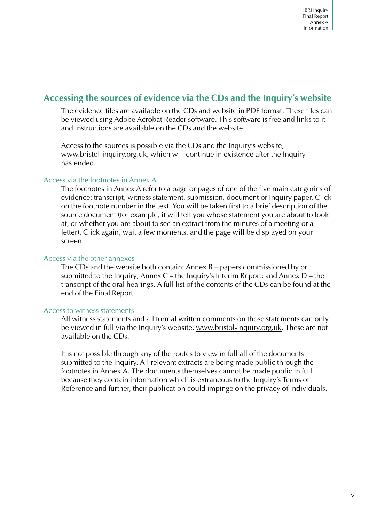## **Accessing the sources of evidence via the CDs and the Inquiry's website**

The evidence files are available on the CDs and website in PDF format. These files can be viewed using Adobe Acrobat Reader software. This software is free and links to it and instructions are available on the CDs and the website.

Access to the sources is possible via the CDs and the Inquiry's website, www.bristol-inquiry.org.uk, which will continue in existence after the Inquiry has ended.

#### Access via the footnotes in Annex A

The footnotes in Annex A refer to a page or pages of one of the five main categories of evidence: transcript, witness statement, submission, document or Inquiry paper. Click on the footnote number in the text. You will be taken first to a brief description of the source document (for example, it will tell you whose statement you are about to look at, or whether you are about to see an extract from the minutes of a meeting or a letter). Click again, wait a few moments, and the page will be displayed on your screen.

#### Access via the other annexes

The CDs and the website both contain: Annex B – papers commissioned by or submitted to the Inquiry; Annex  $C$  – the Inquiry's Interim Report; and Annex  $D$  – the transcript of the oral hearings. A full list of the contents of the CDs can be found at the end of the Final Report.

#### Access to witness statements

All witness statements and all formal written comments on those statements can only be viewed in full via the Inquiry's website, www.bristol-inquiry.org.uk. These are not available on the CDs.

It is not possible through any of the routes to view in full all of the documents submitted to the Inquiry. All relevant extracts are being made public through the footnotes in Annex A. The documents themselves cannot be made public in full because they contain information which is extraneous to the Inquiry's Terms of Reference and further, their publication could impinge on the privacy of individuals.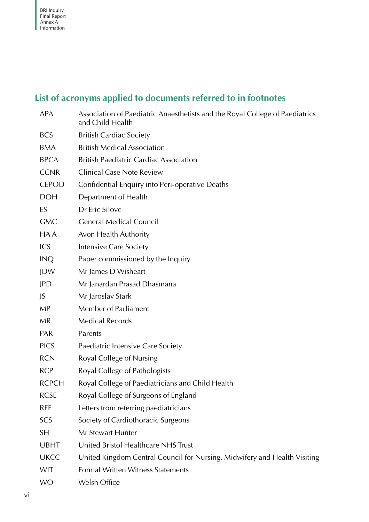# **List of acronyms applied to documents referred to in footnotes**

| <b>APA</b>   | Association of Paediatric Anaesthetists and the Royal College of Paediatrics<br>and Child Health |
|--------------|--------------------------------------------------------------------------------------------------|
| <b>BCS</b>   | <b>British Cardiac Society</b>                                                                   |
| <b>BMA</b>   | <b>British Medical Association</b>                                                               |
| <b>BPCA</b>  | <b>British Paediatric Cardiac Association</b>                                                    |
| <b>CCNR</b>  | <b>Clinical Case Note Review</b>                                                                 |
| <b>CEPOD</b> | Confidential Enquiry into Peri-operative Deaths                                                  |
| <b>DOH</b>   | Department of Health                                                                             |
| ES           | Dr Eric Silove                                                                                   |
| <b>GMC</b>   | <b>General Medical Council</b>                                                                   |
| <b>HAA</b>   | Avon Health Authority                                                                            |
| <b>ICS</b>   | <b>Intensive Care Society</b>                                                                    |
| <b>INQ</b>   | Paper commissioned by the Inquiry                                                                |
| JDW          | Mr James D Wisheart                                                                              |
| JPD          | Mr Janardan Prasad Dhasmana                                                                      |
| JS.          | Mr Jaroslav Stark                                                                                |
| <b>MP</b>    | <b>Member of Parliament</b>                                                                      |
| <b>MR</b>    | <b>Medical Records</b>                                                                           |
| <b>PAR</b>   | Parents                                                                                          |
| <b>PICS</b>  | Paediatric Intensive Care Society                                                                |
| <b>RCN</b>   | Royal College of Nursing                                                                         |
| <b>RCP</b>   | Royal College of Pathologists                                                                    |
| <b>RCPCH</b> | Royal College of Paediatricians and Child Health                                                 |
| <b>RCSE</b>  | Royal College of Surgeons of England                                                             |
| <b>REF</b>   | Letters from referring paediatricians                                                            |
| SCS          | Society of Cardiothoracic Surgeons                                                               |
| <b>SH</b>    | <b>Mr Stewart Hunter</b>                                                                         |
| <b>UBHT</b>  | United Bristol Healthcare NHS Trust                                                              |
| <b>UKCC</b>  | United Kingdom Central Council for Nursing, Midwifery and Health Visiting                        |
| <b>WIT</b>   | <b>Formal Written Witness Statements</b>                                                         |
| <b>WO</b>    | Welsh Office                                                                                     |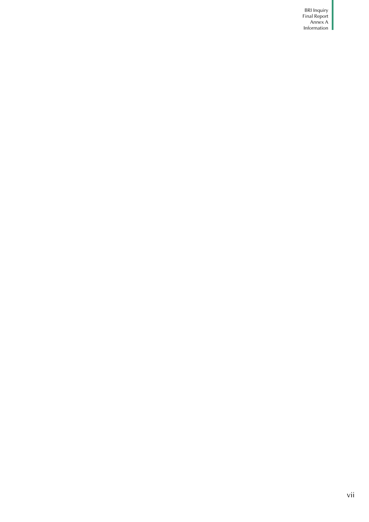BRI Inquiry<br>Final Report<br>Annex A<br>Information

4